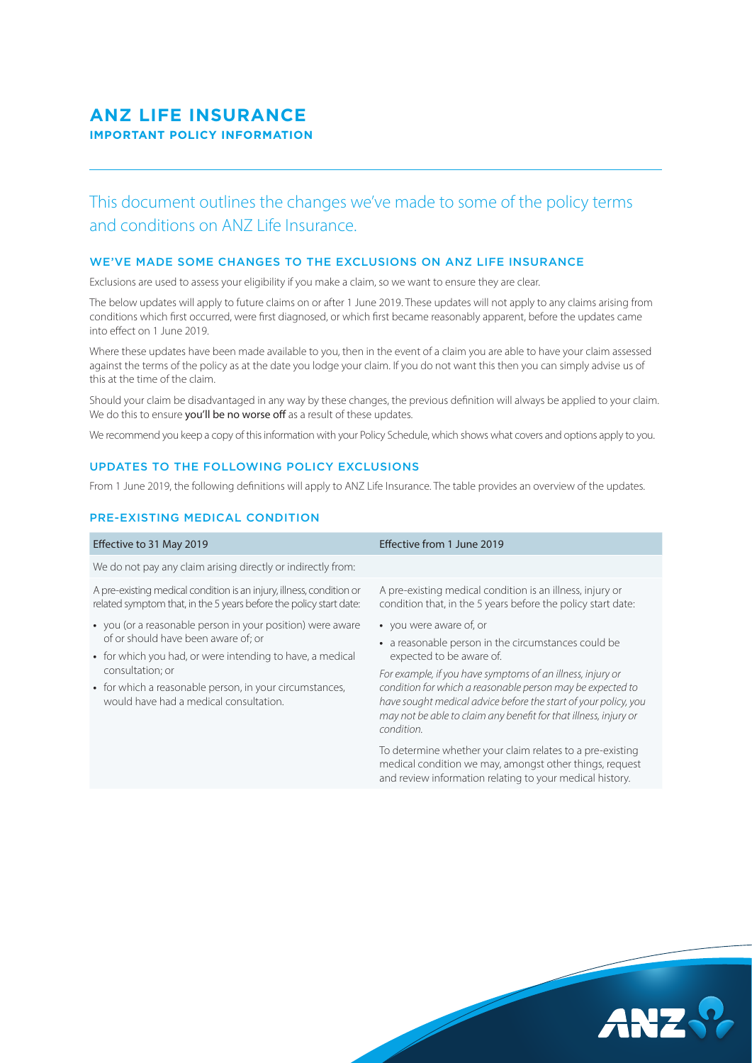## **ANZ LIFE INSURANCE IMPORTANT POLICY INFORMATION**

# This document outlines the changes we've made to some of the policy terms and conditions on ANZ Life Insurance.

#### WE'VE MADE SOME CHANGES TO THE EXCLUSIONS ON ANZ LIFE INSURANCE

Exclusions are used to assess your eligibility if you make a claim, so we want to ensure they are clear.

The below updates will apply to future claims on or after 1 June 2019. These updates will not apply to any claims arising from conditions which first occurred, were first diagnosed, or which first became reasonably apparent, before the updates came into effect on 1 June 2019.

Where these updates have been made available to you, then in the event of a claim you are able to have your claim assessed against the terms of the policy as at the date you lodge your claim. If you do not want this then you can simply advise us of this at the time of the claim.

Should your claim be disadvantaged in any way by these changes, the previous definition will always be applied to your claim. We do this to ensure you'll be no worse off as a result of these updates.

We recommend you keep a copy of this information with your Policy Schedule, which shows what covers and options apply to you.

#### UPDATES TO THE FOLLOWING POLICY EXCLUSIONS

From 1 June 2019, the following definitions will apply to ANZ Life Insurance. The table provides an overview of the updates.

#### PRE-EXISTING MEDICAL CONDITION

| Effective to 31 May 2019                                                                                                                                                                                                                                                                | Effective from 1 June 2019                                                                                                                                                                                                                                                                                                                                                                  |
|-----------------------------------------------------------------------------------------------------------------------------------------------------------------------------------------------------------------------------------------------------------------------------------------|---------------------------------------------------------------------------------------------------------------------------------------------------------------------------------------------------------------------------------------------------------------------------------------------------------------------------------------------------------------------------------------------|
| We do not pay any claim arising directly or indirectly from:                                                                                                                                                                                                                            |                                                                                                                                                                                                                                                                                                                                                                                             |
| A pre-existing medical condition is an injury, illness, condition or<br>related symptom that, in the 5 years before the policy start date:                                                                                                                                              | A pre-existing medical condition is an illness, injury or<br>condition that, in the 5 years before the policy start date:                                                                                                                                                                                                                                                                   |
| • you (or a reasonable person in your position) were aware<br>of or should have been aware of; or<br>• for which you had, or were intending to have, a medical<br>consultation; or<br>• for which a reasonable person, in your circumstances,<br>would have had a medical consultation. | • you were aware of, or<br>• a reasonable person in the circumstances could be<br>expected to be aware of.<br>For example, if you have symptoms of an illness, injury or<br>condition for which a reasonable person may be expected to<br>have sought medical advice before the start of your policy, you<br>may not be able to claim any benefit for that illness, injury or<br>condition. |
|                                                                                                                                                                                                                                                                                         | To determine whether your claim relates to a pre-existing<br>medical condition we may, amongst other things, request<br>and review information relating to your medical history.                                                                                                                                                                                                            |